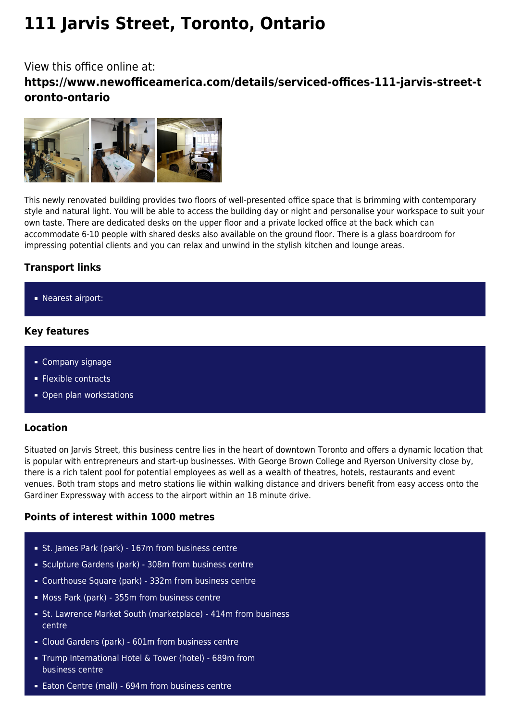# **111 Jarvis Street, Toronto, Ontario**

# View this office online at: **https://www.newofficeamerica.com/details/serviced-offices-111-jarvis-street-t oronto-ontario**



This newly renovated building provides two floors of well-presented office space that is brimming with contemporary style and natural light. You will be able to access the building day or night and personalise your workspace to suit your own taste. There are dedicated desks on the upper floor and a private locked office at the back which can accommodate 6-10 people with shared desks also available on the ground floor. There is a glass boardroom for impressing potential clients and you can relax and unwind in the stylish kitchen and lounge areas.

## **Transport links**

**Nearest airport:** 

#### **Key features**

- Company signage
- **Flexible contracts**
- Open plan workstations

#### **Location**

Situated on Jarvis Street, this business centre lies in the heart of downtown Toronto and offers a dynamic location that is popular with entrepreneurs and start-up businesses. With George Brown College and Ryerson University close by, there is a rich talent pool for potential employees as well as a wealth of theatres, hotels, restaurants and event venues. Both tram stops and metro stations lie within walking distance and drivers benefit from easy access onto the Gardiner Expressway with access to the airport within an 18 minute drive.

### **Points of interest within 1000 metres**

- St. James Park (park) 167m from business centre
- Sculpture Gardens (park) 308m from business centre
- Courthouse Square (park) 332m from business centre
- Moss Park (park) 355m from business centre
- St. Lawrence Market South (marketplace) 414m from business centre
- Cloud Gardens (park) 601m from business centre
- Trump International Hotel & Tower (hotel) 689m from business centre
- Eaton Centre (mall) 694m from business centre